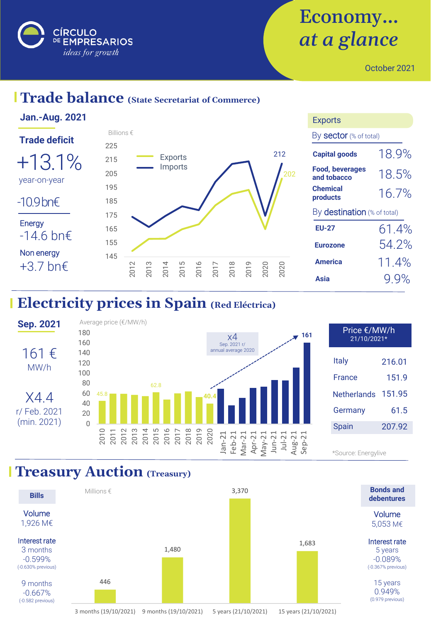

# Economy… *at a glance*

October 2021

## **Trade balance (State Secretariat of Commerce)**



## **Electricity prices in Spain (Red Eléctrica)**



#### **Treasury Auction** (Treasury)